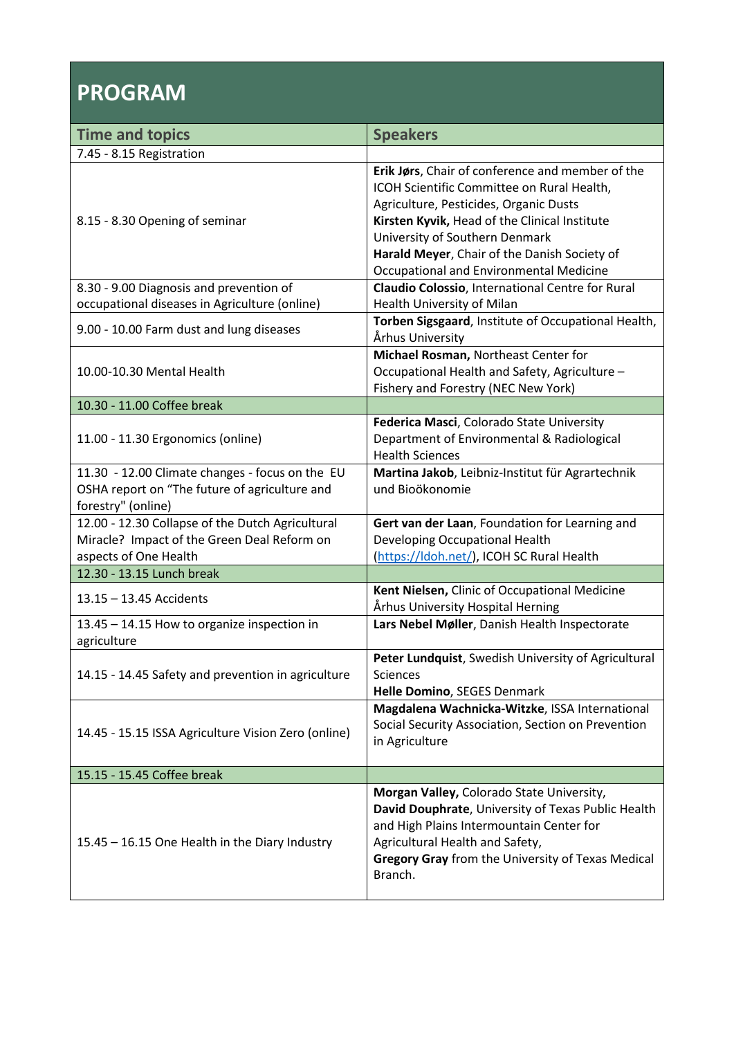## **PROGRAM**

| <b>Time and topics</b>                                                                                                   | <b>Speakers</b>                                                                                                                                                                                                                                                             |
|--------------------------------------------------------------------------------------------------------------------------|-----------------------------------------------------------------------------------------------------------------------------------------------------------------------------------------------------------------------------------------------------------------------------|
| 7.45 - 8.15 Registration                                                                                                 |                                                                                                                                                                                                                                                                             |
| 8.15 - 8.30 Opening of seminar                                                                                           | Erik Jørs, Chair of conference and member of the<br>ICOH Scientific Committee on Rural Health,<br>Agriculture, Pesticides, Organic Dusts<br>Kirsten Kyvik, Head of the Clinical Institute<br>University of Southern Denmark<br>Harald Meyer, Chair of the Danish Society of |
|                                                                                                                          | Occupational and Environmental Medicine<br>Claudio Colossio, International Centre for Rural                                                                                                                                                                                 |
| 8.30 - 9.00 Diagnosis and prevention of<br>occupational diseases in Agriculture (online)                                 | Health University of Milan                                                                                                                                                                                                                                                  |
| 9.00 - 10.00 Farm dust and lung diseases                                                                                 | Torben Sigsgaard, Institute of Occupational Health,<br>Århus University                                                                                                                                                                                                     |
| 10.00-10.30 Mental Health                                                                                                | Michael Rosman, Northeast Center for<br>Occupational Health and Safety, Agriculture -<br>Fishery and Forestry (NEC New York)                                                                                                                                                |
| 10.30 - 11.00 Coffee break                                                                                               |                                                                                                                                                                                                                                                                             |
| 11.00 - 11.30 Ergonomics (online)                                                                                        | Federica Masci, Colorado State University<br>Department of Environmental & Radiological<br><b>Health Sciences</b>                                                                                                                                                           |
| 11.30 - 12.00 Climate changes - focus on the EU<br>OSHA report on "The future of agriculture and<br>forestry" (online)   | Martina Jakob, Leibniz-Institut für Agrartechnik<br>und Bioökonomie                                                                                                                                                                                                         |
| 12.00 - 12.30 Collapse of the Dutch Agricultural<br>Miracle? Impact of the Green Deal Reform on<br>aspects of One Health | Gert van der Laan, Foundation for Learning and<br>Developing Occupational Health<br>(https://ldoh.net/), ICOH SC Rural Health                                                                                                                                               |
| 12.30 - 13.15 Lunch break                                                                                                |                                                                                                                                                                                                                                                                             |
| 13.15 - 13.45 Accidents                                                                                                  | Kent Nielsen, Clinic of Occupational Medicine<br>Århus University Hospital Herning                                                                                                                                                                                          |
| 13.45 - 14.15 How to organize inspection in<br>agriculture                                                               | Lars Nebel Møller, Danish Health Inspectorate                                                                                                                                                                                                                               |
| 14.15 - 14.45 Safety and prevention in agriculture                                                                       | Peter Lundquist, Swedish University of Agricultural<br><b>Sciences</b><br>Helle Domino, SEGES Denmark                                                                                                                                                                       |
| 14.45 - 15.15 ISSA Agriculture Vision Zero (online)                                                                      | Magdalena Wachnicka-Witzke, ISSA International<br>Social Security Association, Section on Prevention<br>in Agriculture                                                                                                                                                      |
| 15.15 - 15.45 Coffee break                                                                                               |                                                                                                                                                                                                                                                                             |
| 15.45 - 16.15 One Health in the Diary Industry                                                                           | Morgan Valley, Colorado State University,<br>David Douphrate, University of Texas Public Health<br>and High Plains Intermountain Center for<br>Agricultural Health and Safety,<br>Gregory Gray from the University of Texas Medical<br>Branch.                              |